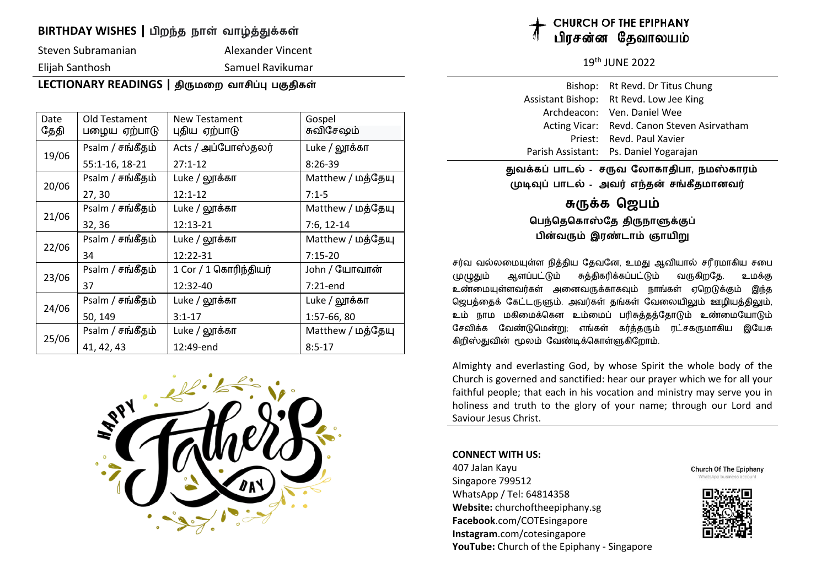### **BIRTHDAY WISHES** | பிறந்த நாள் வாழ்த்துக்கள்

Steven Subramanian and Alexander Vincent

Elijah Santhosh Samuel Ravikumar

### **LECTIONARY READINGS** | திருமறை வாசிப்பு பகுதிகள்

| Date<br>தேதி | Old Testament<br>பழைய ஏற்பாடு | <b>New Testament</b><br>புதிய ஏற்பாடு | Gospel<br>சுவிசேஷம் |
|--------------|-------------------------------|---------------------------------------|---------------------|
| 19/06        | Psalm / சங்கீதம்              | Acts / அப்போஸ்தலர்                    | Luke / லூக்கா       |
|              | 55:1-16, 18-21                | $27:1-12$                             | $8:26-39$           |
| 20/06        | Psalm / சங்கீதம்              | Luke / லூக்கா                         | Matthew / மத்தேயு   |
|              | 27, 30                        | $12:1-12$                             | $7:1-5$             |
| 21/06        | Psalm / சங்கீதம்              | Luke / லூக்கா                         | Matthew / மத்தேயு   |
|              | 32, 36                        | 12:13-21                              | $7:6, 12-14$        |
| 22/06        | Psalm / சங்கீதம்              | Luke / லூக்கா                         | Matthew / மத்தேயு   |
|              | 34                            | 12:22-31                              | $7:15-20$           |
| 23/06        | Psalm / சங்கீதம்              | 1 Cor / 1 கொரிந்தியர்                 | John / யோவான்       |
|              | 37                            | 12:32-40                              | $7:21$ -end         |
| 24/06        | Psalm / சங்கீதம்              | Luke / லூக்கா                         | Luke / லூக்கா       |
|              | 50, 149                       | $3:1 - 17$                            | 1:57-66, 80         |
| 25/06        | Psalm / சங்கீதம்              | Luke / லூக்கா                         | Matthew / மத்தேயு   |
|              | 41, 42, 43                    | 12:49-end                             | $8:5-17$            |



## **URCH OF THE EPIPHANY** பிாசன்ன கேவாலயம்

19<sup>th</sup> IUNF 2022

| Bishop: Rt Revd. Dr Titus Chung             |
|---------------------------------------------|
| Assistant Bishop: Rt Revd. Low Jee King     |
| Archdeacon: Ven. Daniel Wee                 |
| Acting Vicar: Revd. Canon Steven Asirvatham |
| Priest: Revd. Paul Xavier                   |
| Parish Assistant: Ps. Daniel Yogarajan      |

துவக்கப் பாடல் - சருவ லோகாதிபா, நமஸ்காரம்  **89:& பாட\* - அவ< எ>த? ச@கீதமானவ<**

## **C-\$க ெஜப7**

**பெந்தெகொஸ்தே திருநாளுக்குப்** <u>பின்வரும் இரண்டாம் ஞாயிறு</u>

சர்வ வல்லமையுள்ள நித்திய தேவனே, உமது ஆவியால் சரீரமாகிய சபை முழுதும் ஆளப்பட்டும் சுத்திகரிக்கப்பட்டும் வருகிறதே. உமக்கு உண்மையுள்ளவர்கள் அனைவருக்காகவும் நாங்கள் ஏறெடுக்கும் இந்த ஜெபத்தைக் கேட்டருளும். அவர்கள் தங்கள் வேலையிலும் ஊழியத்திலும், உம் நாம மகிமைக்கென உம்மைப் பரிசுத்தத்தோடும் உண்மையோடும் சேவிக்க வேண்டுமென்று; எங்கள் கர்க்கரும் ரட்சகருமாகிய இயேசு கிறிஸ்துவின் மூலம் வேண்டிக்கொள்ளுகிறோம்.

Almighty and everlasting God, by whose Spirit the whole body of the Church is governed and sanctified: hear our prayer which we for all your faithful people; that each in his vocation and ministry may serve you in holiness and truth to the glory of your name; through our Lord and Saviour Jesus Christ.

#### **CONNECT WITH US:**

407 Jalan Kayu Singapore 799512 WhatsApp / Tel: 64814358 **Website:** churchoftheepiphany.sg **Facebook**.com/COTEsingapore **Instagram**.com/cotesingapore **YouTube:** Church of the Epiphany - Singapore **Church Of The Epiphany** 

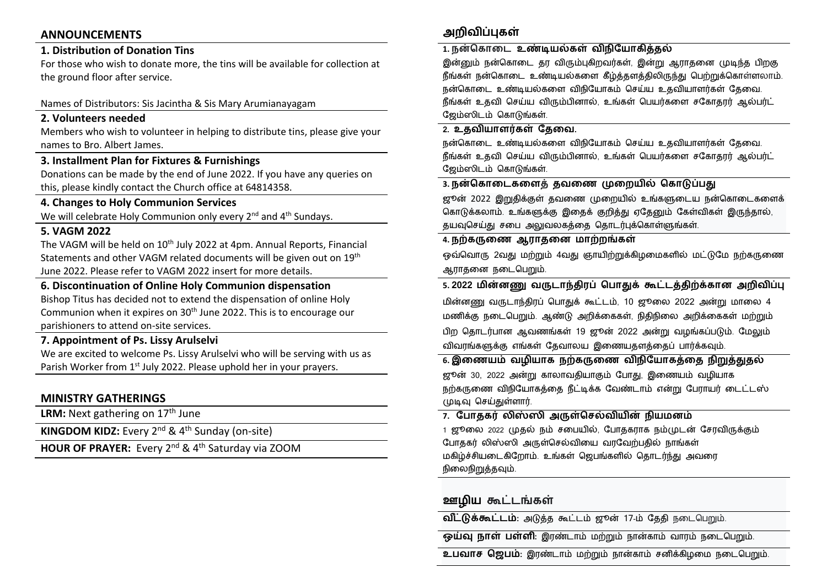#### **ANNOUNCEMENTS**

#### **1. Distribution of Donation Tins**

For those who wish to donate more, the tins will be available for collection at the ground floor after service.

#### Names of Distributors: Sis Jacintha & Sis Mary Arumianayagam

#### **2. Volunteers needed**

Members who wish to volunteer in helping to distribute tins, please give your names to Bro. Albert James.

#### **3. Installment Plan for Fixtures & Furnishings**

Donations can be made by the end of June 2022. If you have any queries on this, please kindly contact the Church office at 64814358.

#### **4. Changes to Holy Communion Services**

We will celebrate Holy Communion only every  $2^{nd}$  and  $4^{th}$  Sundays.

#### **5. VAGM 2022**

The VAGM will be held on 10<sup>th</sup> July 2022 at 4pm. Annual Reports, Financial Statements and other VAGM related documents will be given out on 19<sup>th</sup> June 2022. Please refer to VAGM 2022 insert for more details.

#### **6. Discontinuation of Online Holy Communion dispensation**

Bishop Titus has decided not to extend the dispensation of online Holy Communion when it expires on 30<sup>th</sup> June 2022. This is to encourage our parishioners to attend on-site services.

#### **7. Appointment of Ps. Lissy Arulselvi**

We are excited to welcome Ps. Lissy Arulselvi who will be serving with us as Parish Worker from 1<sup>st</sup> July 2022. Please uphold her in your prayers.

#### **MINISTRY GATHERINGS**

LRM: Next gathering on 17<sup>th</sup> June

**KINGDOM KIDZ:** Every 2<sup>nd</sup> & 4<sup>th</sup> Sunday (on-site)

**HOUR OF PRAYER:** Every 2<sup>nd</sup> & 4<sup>th</sup> Saturday via ZOOM

## **அறிவிப்புகள்**

#### <u>1. நன்கொடை உண்டியல்கள் விநியோகிக்கல்</u>

இன்னும் நன்கொடை தர விரும்புகிறவர்கள், இன்று ஆராதனை முடிந்த பிறகு நீங்கள் நன்கொடை உண்டியல்களை கீழ்த்தளத்திலிருந்து பெற்றுக்கொள்ளலாம். நன்கொடை உண்டியல்களை விநியோகம் செய்ய உதவியாளர்கள் கேவை. நீங்கள் உதவி செய்ய விரும்பினால், உங்கள் பெயர்களை சகோதார் ஆல்பர்ட் ஜேம்ஸிடம் கொடுங்கள்.

#### <u>2. உதவியாளர்கள் கேவை.</u>

நன்கொடை உண்டியல்களை விநியோகம் செய்ய உதவியாளர்கள் கேவை. நீங்கள் உதவி செய்ய விரும்பினால், உங்கள் பெயர்களை சகோதரர் ஆல்பர்ட் ஜேம்ஸிடம் கொடுங்கள்.

#### 3. நன்கொடைகளைத் தவணை முறையில் கொடுப்பது

ஜூன் 2022 இறுதிக்குள் தவணை முறையில் உங்களுடைய நன்கொடைகளைக் கொடுக்கலாம். உங்களுக்கு இதைக் குறித்து ஏதேனும் கேள்விகள் இருந்தால், தயவுசெய்து சபை அலுவலகத்தை தொடர்புக்கொள்ளுங்கள்.

#### $4.$  நற்கருணை ஆராதனை மாற்றங்கள்

ஒவ்வொரு 2வது மற்றும் 4வது ஞாயிற்றுக்கிழமைகளில் மட்டுமே நற்கருணை ஆராதனை நடைபெறும்.

#### 5. 2022 மின்னணு வருடாந்திரப் பொதுக் கூட்டத்திற்க்கான அறிவிப்பு

மின்னணு வருடாந்திரப் பொதுக் கூட்டம், 10 ஜூலை 2022 அன்று மாலை 4 மணிக்கு நடைபெறும். ஆண்டு அறிக்கைகள், நிதிநிலை அறிக்கைகள் மற்றும் பிற தொடர்பான ஆவணங்கள் 19 ஜூன் 2022 அன்று வழங்கப்படும். மேலும் விவாங்களுக்கு எங்கள் தேவாலய இணையதளத்தைப் பார்க்கவும்.

#### **6. இைணய7 வழியாக நZக-ைண வHநிேயாகQைத நிMQ"த\*** ஜூன் 30, 2022 அன்று காலாவதியாகும் போது, இணையம் வழியாக நற்கருணை விநியோகத்தை நீட்டிக்க வேண்டாம் என்று பேராயர் டைட்டஸ் முடிவு செய்துள்ளார்.

#### <u>7. போதகர் லிஸ்ஸி அருள்செல்வியின் நியமனம்</u>

1 ஜூலை 2022 முதல் நம் சபையில், போதகராக நம்முடன் சேரவிருக்கும் போதகர் லிஸ்ஸி அருள்செல்வியை வரவேற்பதில் நாங்கள் மகிழ்ச்சியடைகிறோம். உங்கள் ஜெபங்களில் தொடர்ந்து அவரை நிலைநிறுத்தவும்.

#### **ஊழிய கூட்டங்கள்**

**விட்டுக்கூட்டம்**: அடுத்த கூட்டம் ஜூன் 17-ம் தேதி நடைபெறும்.

**ஒய்வு நாள் பள்ளி**: இரண்டாம் மற்றும் நான்காம் வாரம் நடைபெறும்.

**உபவாச ஜெபம்**: இரண்டாம் மற்றும் நான்காம் சனிக்கிழமை நடைபெறும்.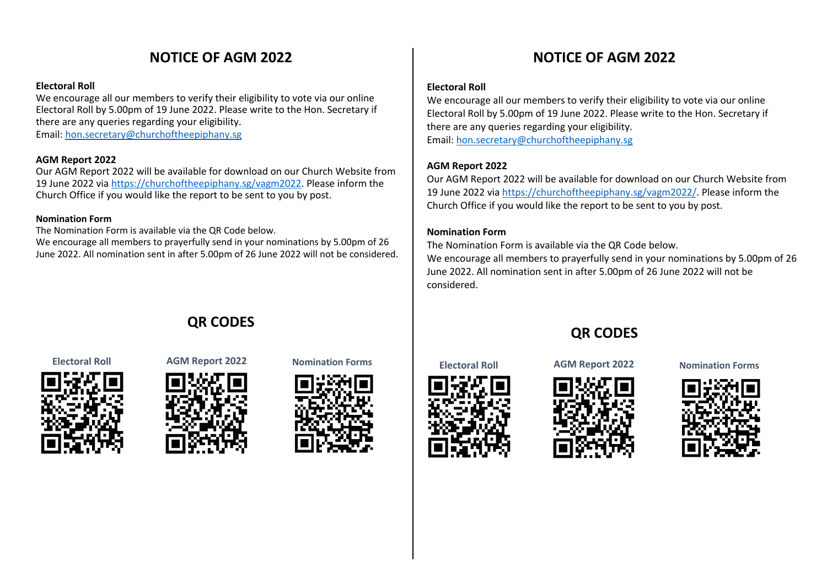# **NOTICE OF AGM 2022**

#### **Electoral Roll**

We encourage all our members to verify their eligibility to vote via our online Electoral Roll by 5.00pm of 19 June 2022. Please write to the Hon. Secretary if there are any queries regarding your eligibility.

Email: hon.secretary@churchoftheepiphany.sg

#### **AGM Report 2022**

Our AGM Report 2022 will be available for download on our Church Website from 19 June 2022 via https://churchoftheepiphany.sg/vagm2022. Please inform the Church Office if you would like the report to be sent to you by post.

#### **Nomination Form**

The Nomination Form is available via the QR Code below.

We encourage all members to prayerfully send in your nominations by 5.00pm of 26 June 2022. All nomination sent in after 5.00pm of 26 June 2022 will not be considered.

# **QR CODES**



# **Electoral Roll AGM Report 2022 Nomination Forms Electoral Roll AGM Report 2022 Nomination Forms**